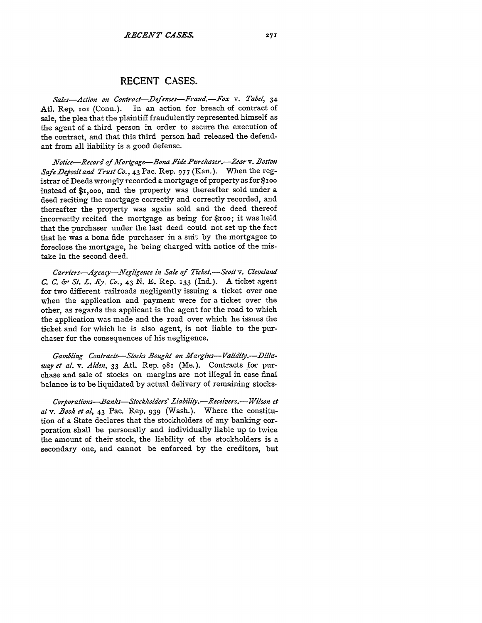## **RECENT CASES.**

Salcs-*Action on Contract-Defenses-Fraud.* -Fox v. Tabel, 34 Atl. Rep. 101 (Conn.). In an action for breach of contract of sale, the plea that the plaintiff fraudulently represented himself as the agent of a third person in order to secure the execution of the contract, and that this third person had released the defendant from all liability is a good defense.

*Notice-Record of Mortgage-Bona Fide Purchaser.-Zear v. Boston Safe Deposit and Trust Co.,* 43 Pac. Rep. 977 (Kan.). When the registrar of Deeds wrongly recorded a mortgage of property as for \$ioo instead of  $r, \circ \circ$ , and the property was thereafter sold under a deed reciting the mortgage correctly and correctly recorded, and thereafter the property was again sold and the deed thereof incorrectly recited the mortgage as being for \$ioo; it was held that the purchaser under the last deed could not set up the fact that he was a bona fide purchaser in a suit by the mortgagee to foreclose the mortgage, he being charged with notice of the mistake in the second deed.

*Carriers-Agency-Negligence in Sale of Ticket. -Scott v. Cleveland C. C. & St. L. Ry. Co., 43* N. E. Rep. **133** (Ind.). A ticket agent for two different railroads negligently issuing a ticket over one when the application and payment were for a ticket over the other, as regards the applicant is the agent for the road to which the application was made and the road over which he issues the ticket and for which he is also agent, is not liable to the purchaser for the consequences of his negligence.

Gambling Contracts-Stocks Bought on Margins-Validity.-Dilla*way et al. v. Alden,* 33 At1. Rep. **981** (Me.). Contracts for purchase and sale of stocks on margins are not illegal in case final balance is to be liquidated by actual delivery of remaining stocks.

*Corporationzs-Banks-Stockholders' Liabili/y.-Receivers.- Wilson et al v. Book et al,* 43 Pac. Rep. 939 (Wash.). Where the constitution of a State declares that the stockholders of any banking corporation shall be personally and individually liable up to twice the amount of their stock, the liability of the stockholders is a secondary one, and cannot be enforced by the creditors, but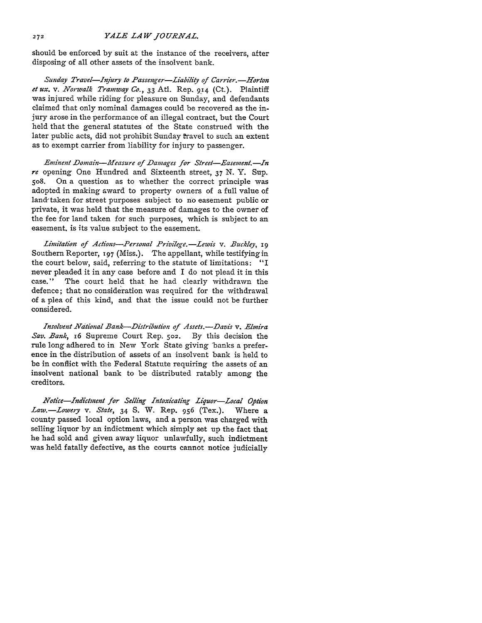should be enforced by suit at the instance of the receivers, after disposing of all other assets of the insolvent bank.

*Sunday Travel-Injury to Passenger-Liability of Carrier.-Horton et ux. v. Nrorwalk Tramway Co.,* 33 Atl. Rep. **9i4** (Ct.). Plaintiff was injured while riding for pleasure on Sunday, and defendants claimed that only nominal damages could be recovered as the injury arose in the performance of an illegal contract, but the Court held that the general statutes of the State construed with the later public acts, did not prohibit Sunday travel to such an extent as to exempt carrier from liability for injury to passenger.

*Eminent Domain-Measure of Damages for Street-Easement.* -In *re* opening One Hundred and Sixteenth street, 37 N. Y. Sup. **508.** On a question as to whether the correct principle was adopted in making award to property owners of a full value of land'taken for street purposes subject to no easement public or private, it was held that the measure of damages to the owner of the fee for land taken for such purposes, which is subject to an easement, is its value subject to the easement.

*Zinitation of Actions-Personal Privilege. -. Lewis v. Buckley,* **i9** Southern Reporter, **197** (Miss.). The appellant, while testifying in the court below, said, referring to the statute of limitations: "I never pleaded it in any case before and I do not plead it in this case." The court held that he had clearly withdrawn the defence; that no consideration was required for the withdrawal of a plea of this kind, and that the issue could not be further considered.

*Insolvent Vational Bank-Distribution of Assets.-Davis v. Elmira Say. Bank,* 16 Supreme Court Rep. **502.** By this decision the rule long adhered to in New York State giving 'banks a preference in the distribution of assets of an insolvent bank is held to be in conflict with the Federal Statute requiring the assets of an insolvent national bank to be distributed ratably among the creditors.

*Notice-Indictnent for Selling Intoxicating Liquor-Local Option Law.-Lowery v. State,* 34 **S.** W. Rep. 956 (Tex.). Where a county passed local option laws, and a person was charged with selling liquor by an indictment which simply set up the fact that he had sold and given away liquor unlawfully, such indictment was held fatally defective, as the courts cannot notice judicially